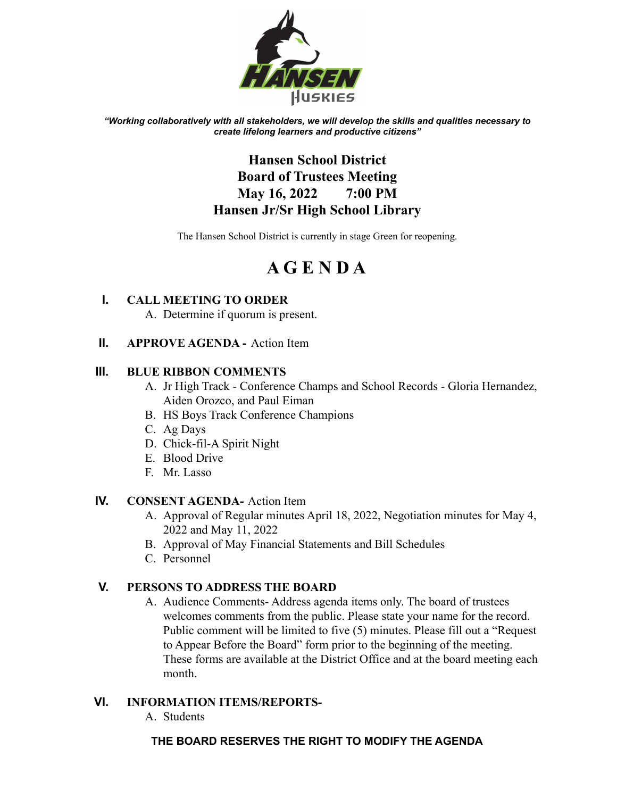

*"Working collaboratively with all stakeholders, we will develop the skills and qualities necessary to create lifelong learners and productive citizens"*

# **Hansen School District Board of Trustees Meeting May 16, 2022 7:00 PM Hansen Jr/Sr High School Library**

The Hansen School District is currently in stage Green for reopening.

# **A G E N D A**

# **I. CALL MEETING TO ORDER**

A. Determine if quorum is present.

## **II. APPROVE AGENDA -** Action Item

#### **III. BLUE RIBBON COMMENTS**

- A. Jr High Track Conference Champs and School Records Gloria Hernandez, Aiden Orozco, and Paul Eiman
- B. HS Boys Track Conference Champions
- C. Ag Days
- D. Chick-fil-A Spirit Night
- E. Blood Drive
- F. Mr. Lasso

#### **IV. CONSENT AGENDA-** Action Item

- A. Approval of Regular minutes April 18, 2022, Negotiation minutes for May 4, 2022 and May 11, 2022
- B. Approval of May Financial Statements and Bill Schedules
- C. Personnel

# **V. PERSONS TO ADDRESS THE BOARD**

A. Audience Comments- Address agenda items only. The board of trustees welcomes comments from the public. Please state your name for the record. Public comment will be limited to five (5) minutes. Please fill out a "Request to Appear Before the Board" form prior to the beginning of the meeting. These forms are available at the District Office and at the board meeting each month.

#### **VI. INFORMATION ITEMS/REPORTS-**

A. Students

#### **THE BOARD RESERVES THE RIGHT TO MODIFY THE AGENDA**